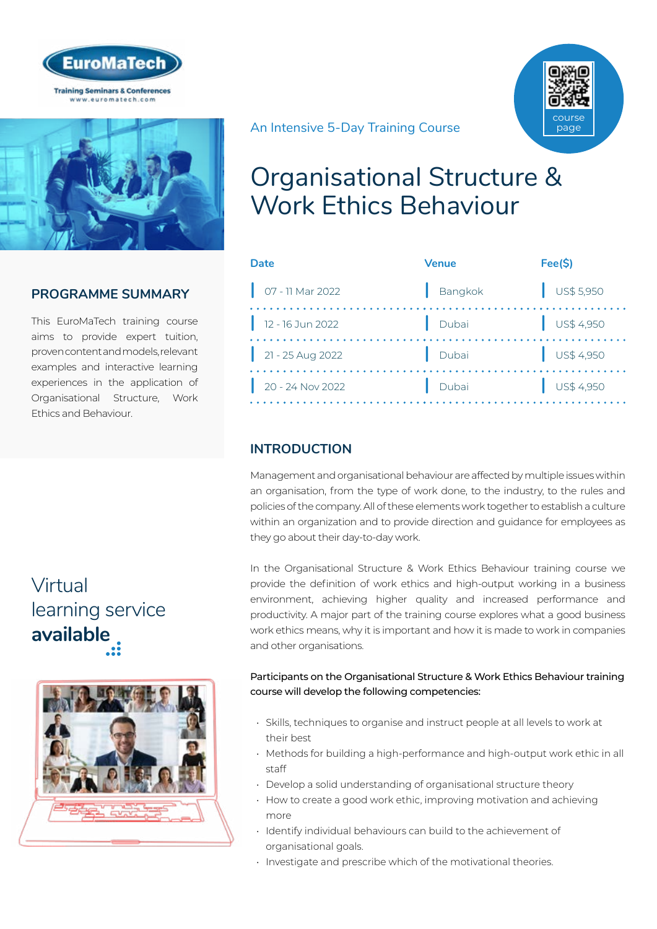



# **PROGRAMME SUMMARY**

This EuroMaTech training course aims to provide expert tuition, proven content and models, relevant examples and interactive learning experiences in the application of Organisational Structure, Work Ethics and Behaviour.

# Virtual [learning service](https://www.euromatech.com/seminars/organisational-structure-work-ethics-behaviour-1/)  **available**



An Intensive 5-Day Training Course



# Organisational Structure & Work Ethics Behaviour

| Date                       | <b>Venue</b> | Fee(\$)                  |
|----------------------------|--------------|--------------------------|
| $\bigcup$ 07 - 11 Mar 2022 | Bangkok      | $\frac{1}{2}$ US\$ 5,950 |
| $12 - 16$ Jun 2022         | Dubai        | $\bigcup$ US\$ 4,950     |
| $\Big $ 21 - 25 Aug 2022   | Dubai        | $\bigcup$ US\$ 4,950     |
| 20 - 24 Nov 2022           | Dubai        | $\bigcup$ US\$ 4,950     |

# **INTRODUCTION**

Management and organisational behaviour are affected by multiple issues within an organisation, from the type of work done, to the industry, to the rules and policies of the company. All of these elements work together to establish a culture within an organization and to provide direction and guidance for employees as they go about their day-to-day work.

In the Organisational Structure & Work Ethics Behaviour training course we provide the definition of work ethics and high-output working in a business environment, achieving higher quality and increased performance and productivity. A major part of the training course explores what a good business work ethics means, why it is important and how it is made to work in companies and other organisations.

#### Participants on the Organisational Structure & Work Ethics Behaviour training course will develop the following competencies:

- Skills, techniques to organise and instruct people at all levels to work at their best
- Methods for building a high-performance and high-output work ethic in all staff
- Develop a solid understanding of organisational structure theory
- How to create a good work ethic, improving motivation and achieving more
- Identify individual behaviours can build to the achievement of organisational goals.
- Investigate and prescribe which of the motivational theories.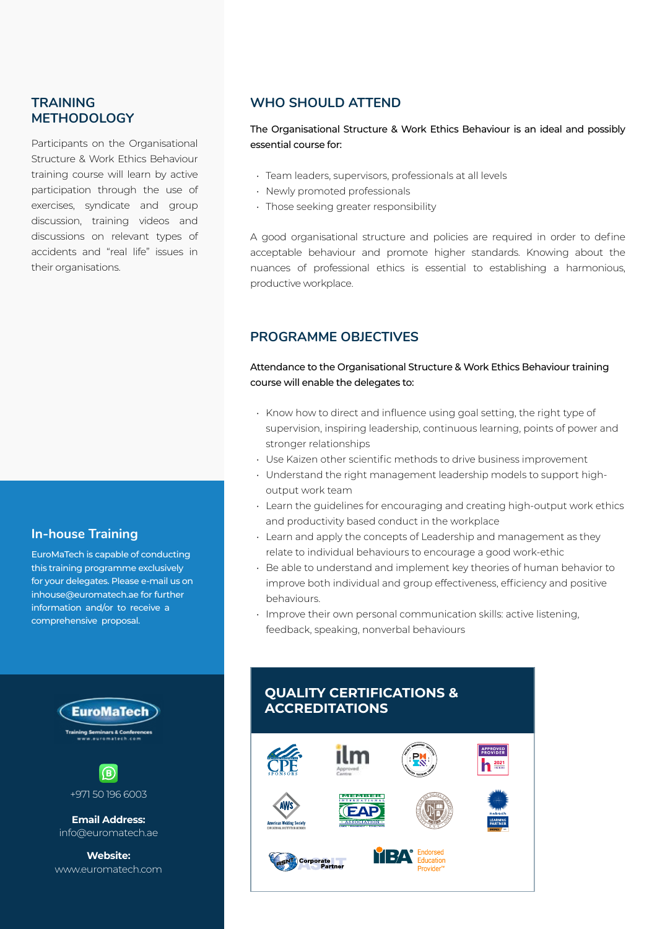### **TRAINING METHODOLOGY**

Participants on the Organisational Structure & Work Ethics Behaviour training course will learn by active participation through the use of exercises, syndicate and group discussion, training videos and discussions on relevant types of accidents and "real life" issues in their organisations.

### **In-house Training**

EuroMaTech is capable of conducting this training programme exclusively for your delegates. Please e-mail us on inhouse@euromatech.ae for further information and/or to receive a comprehensive proposal.





**Email Address:** info@euromatech.ae

**Website:** www.euromatech.com

### **WHO SHOULD ATTEND**

The Organisational Structure & Work Ethics Behaviour is an ideal and possibly essential course for:

- Team leaders, supervisors, professionals at all levels
- Newly promoted professionals
- Those seeking greater responsibility

A good organisational structure and policies are required in order to define acceptable behaviour and promote higher standards. Knowing about the nuances of professional ethics is essential to establishing a harmonious, productive workplace.

### **PROGRAMME OBJECTIVES**

#### Attendance to the Organisational Structure & Work Ethics Behaviour training course will enable the delegates to:

- Know how to direct and influence using goal setting, the right type of supervision, inspiring leadership, continuous learning, points of power and stronger relationships
- Use Kaizen other scientific methods to drive business improvement
- Understand the right management leadership models to support highoutput work team
- Learn the guidelines for encouraging and creating high-output work ethics and productivity based conduct in the workplace
- Learn and apply the concepts of Leadership and management as they relate to individual behaviours to encourage a good work-ethic
- Be able to understand and implement key theories of human behavior to improve both individual and group effectiveness, efficiency and positive behaviours.
- Improve their own personal communication skills: active listening, feedback, speaking, nonverbal behaviours

## **QUALITY CERTIFICATIONS & ACCREDITATIONS**

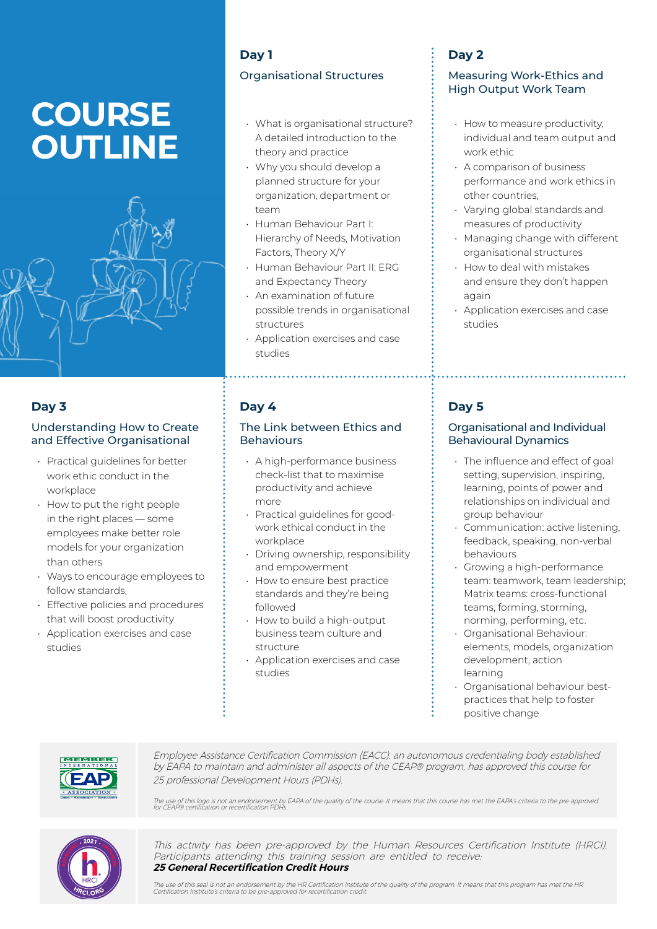# **COURSE OUTLINE**



### **Day 3**

#### Understanding How to Create and Effective Organisational

- Practical guidelines for better work ethic conduct in the workplace
- How to put the right people in the right places — some employees make better role models for your organization than others
- Ways to encourage employees to follow standards,
- Effective policies and procedures that will boost productivity
- Application exercises and case studies

# **Day 1**

#### Organisational Structures

- What is organisational structure? A detailed introduction to the theory and practice
- Why you should develop a planned structure for your organization, department or team
- Human Behaviour Part I: Hierarchy of Needs, Motivation Factors, Theory X/Y
- Human Behaviour Part II: ERG and Expectancy Theory
- An examination of future possible trends in organisational structures
- Application exercises and case studies

### **Day 4**

#### The Link between Ethics and Behaviours

- A high-performance business check-list that to maximise productivity and achieve more
- Practical guidelines for goodwork ethical conduct in the workplace
- Driving ownership, responsibility and empowerment
- How to ensure best practice standards and they're being followed
- How to build a high-output business team culture and structure
- Application exercises and case studies

# **Day 2**

#### Measuring Work-Ethics and High Output Work Team

- How to measure productivity, individual and team output and work ethic
- A comparison of business performance and work ethics in other countries,
- Varying global standards and measures of productivity
- Managing change with different organisational structures
- How to deal with mistakes and ensure they don't happen again
- Application exercises and case studies

# **Day 5**

#### Organisational and Individual Behavioural Dynamics

- The influence and effect of goal setting, supervision, inspiring, learning, points of power and relationships on individual and group behaviour
- Communication: active listening, feedback, speaking, non-verbal behaviours
- Growing a high-performance team: teamwork, team leadership; Matrix teams: cross-functional teams, forming, storming, norming, performing, etc.
- Organisational Behaviour: elements, models, organization development, action learning
- Organisational behaviour bestpractices that help to foster positive change



Employee Assistance Certification Commission (EACC), an autonomous credentialing body established by EAPA to maintain and administer all aspects of the CEAP® program, has approved this course for 25 professional Development Hours (PDHs).

The use of this logo is not an endorsement by EAPA of the quality of the course. It means that this course has met the EAPA's criteria to the pre-approved<br>for CEAP® certification or recertification PDHs.



This activity has been pre-approved by the Human Resources Certification Institute (HRCI). Participants attending this training session are entitled to receive: **25 General Recertification Credit Hours**